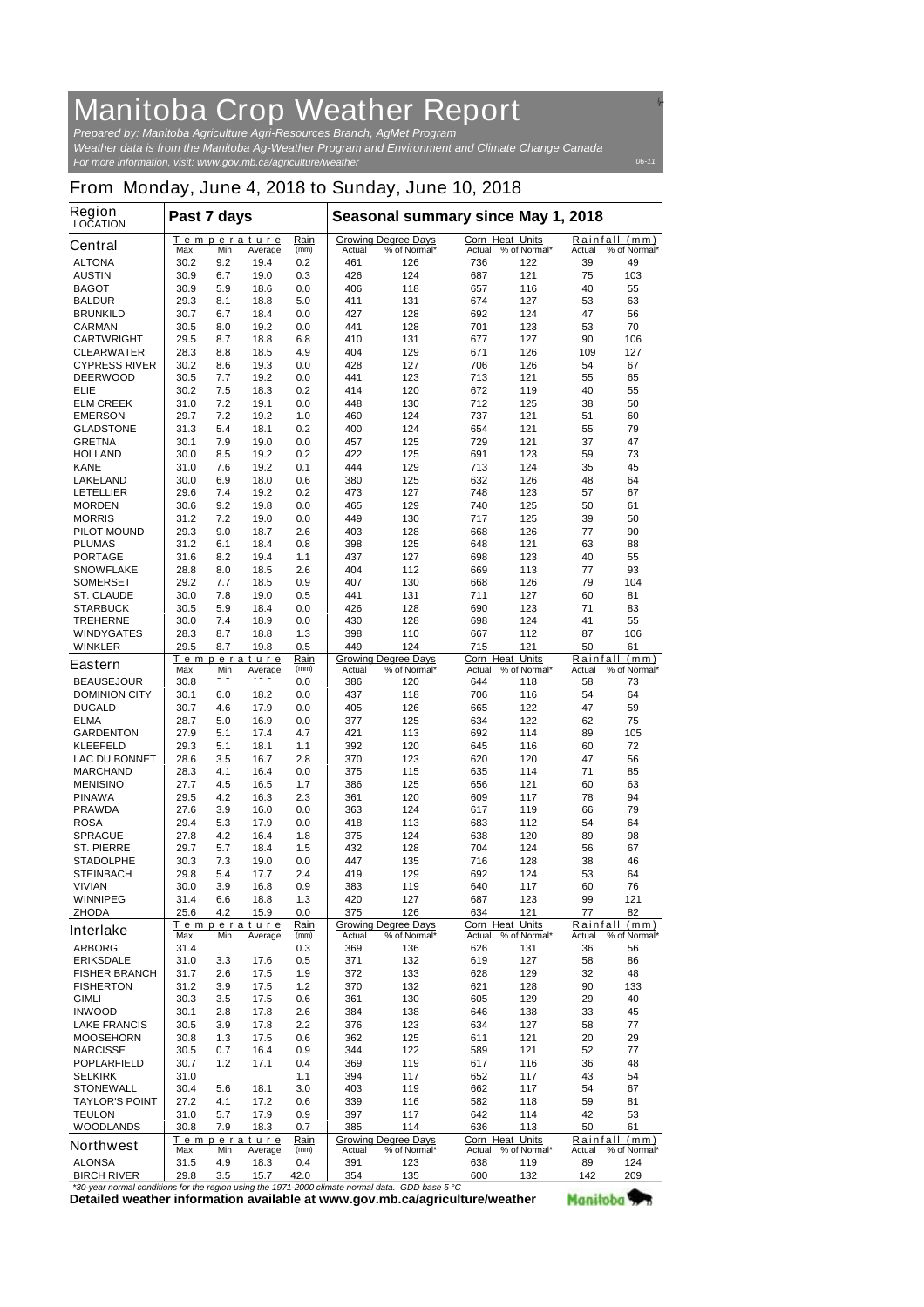## **Manitoba Crop Weather Report**

*For more information, visit: www.gov.mb.ca/agriculture/weather Prepared by: Manitoba Agriculture Agri-Resources Branch, AgMet Program Weather data is from the Manitoba Ag-Weather Program and Environment and Climate Change Canada*

## **From Monday, June 4, 2018 to Sunday, June 10, 2018**

| <b>Region</b><br><b>LOCATION</b>                                                                                       | Past 7 days                                  |            |                               |                        | Seasonal summary since May 1, 2018 |                                            |                                  |                        |                    |                               |
|------------------------------------------------------------------------------------------------------------------------|----------------------------------------------|------------|-------------------------------|------------------------|------------------------------------|--------------------------------------------|----------------------------------|------------------------|--------------------|-------------------------------|
| <b>Central</b>                                                                                                         | Τ<br>Max                                     | Min        | emperature<br>Average         | Rain<br>(mm)           | Actual                             | <b>Growing Degree Days</b><br>% of Normal* | <b>Corn Heat Units</b><br>Actual | % of Normal*           | Actual             | Rainfall (mm)<br>% of Normal* |
| <b>ALTONA</b>                                                                                                          | 30.2                                         | 9.2        | 19.4                          | 0.2                    | 461                                | 126                                        | 736                              | 122                    | 39                 | 49                            |
| <b>AUSTIN</b>                                                                                                          | 30.9                                         | 6.7        | 19.0                          | 0.3                    | 426                                | 124                                        | 687                              | 121                    | 75                 | 103                           |
| <b>BAGOT</b>                                                                                                           | 30.9                                         | 5.9        | 18.6                          | 0.0                    | 406                                | 118                                        | 657                              | 116                    | 40                 | 55                            |
| <b>BALDUR</b>                                                                                                          | 29.3                                         | 8.1        | 18.8                          | 5.0                    | 411                                | 131                                        | 674                              | 127                    | 53                 | 63                            |
| <b>BRUNKILD</b>                                                                                                        | 30.7                                         | 6.7        | 18.4                          | 0.0                    | 427                                | 128                                        | 692                              | 124                    | 47                 | 56                            |
| <b>CARMAN</b>                                                                                                          | 30.5<br>29.5                                 | 8.0        | 19.2                          | 0.0                    | 441                                | 128<br>131                                 | 701                              | 123<br>127             | 53                 | 70                            |
| <b>CARTWRIGHT</b><br><b>CLEARWATER</b>                                                                                 | 28.3                                         | 8.7<br>8.8 | 18.8<br>18.5                  | 6.8<br>4.9             | 410<br>404                         | 129                                        | 677<br>671                       | 126                    | 90<br>109          | 106<br>127                    |
| <b>CYPRESS RIVER</b>                                                                                                   | 30.2                                         | 8.6        | 19.3                          | 0.0                    | 428                                | 127                                        | 706                              | 126                    | 54                 | 67                            |
| <b>DEERWOOD</b>                                                                                                        | 30.5                                         | 7.7        | 19.2                          | 0.0                    | 441                                | 123                                        | 713                              | 121                    | 55                 | 65                            |
| <b>ELIE</b>                                                                                                            | 30.2                                         | 7.5        | 18.3                          | 0.2                    | 414                                | 120                                        | 672                              | 119                    | 40                 | 55                            |
| <b>ELM CREEK</b>                                                                                                       | 31.0                                         | 7.2        | 19.1                          | 0.0                    | 448                                | 130                                        | 712                              | 125                    | 38                 | 50                            |
| <b>EMERSON</b>                                                                                                         | 29.7                                         | 7.2        | 19.2                          | 1.0                    | 460                                | 124                                        | 737                              | 121                    | 51                 | 60                            |
| <b>GLADSTONE</b>                                                                                                       | 31.3                                         | 5.4        | 18.1                          | 0.2                    | 400                                | 124                                        | 654                              | 121                    | 55                 | 79                            |
| <b>GRETNA</b>                                                                                                          | 30.1                                         | 7.9        | 19.0                          | 0.0                    | 457                                | 125                                        | 729                              | 121                    | 37                 | 47                            |
| <b>HOLLAND</b>                                                                                                         | 30.0                                         | 8.5        | 19.2                          | 0.2                    | 422                                | 125                                        | 691                              | 123                    | 59                 | 73                            |
| <b>KANE</b>                                                                                                            | 31.0                                         | 7.6        | 19.2                          | 0.1                    | 444                                | 129                                        | 713                              | 124                    | 35                 | 45                            |
| <b>LAKELAND</b>                                                                                                        | 30.0                                         | 6.9        | 18.0                          | 0.6                    | 380                                | 125                                        | 632                              | 126                    | 48                 | 64                            |
| <b>LETELLIER</b>                                                                                                       | 29.6                                         | 7.4        | 19.2                          | 0.2                    | 473                                | 127                                        | 748                              | 123                    | 57                 | 67                            |
| <b>MORDEN</b>                                                                                                          | 30.6                                         | 9.2        | 19.8                          | 0.0                    | 465                                | 129                                        | 740                              | 125                    | 50                 | 61                            |
| <b>MORRIS</b>                                                                                                          | 31.2                                         | 7.2        | 19.0                          | 0.0                    | 449                                | 130                                        | 717                              | 125                    | 39                 | 50                            |
| <b>PILOT MOUND</b>                                                                                                     | 29.3                                         | 9.0        | 18.7                          | 2.6                    | 403                                | 128                                        | 668                              | 126                    | 77                 | 90                            |
| <b>PLUMAS</b>                                                                                                          | 31.2                                         | 6.1        | 18.4                          | 0.8                    | 398                                | 125                                        | 648                              | 121                    | 63                 | 88                            |
| <b>PORTAGE</b>                                                                                                         | 31.6                                         | 8.2        | 19.4                          | 1.1                    | 437                                | 127                                        | 698                              | 123                    | 40                 | 55                            |
| <b>SNOWFLAKE</b>                                                                                                       | 28.8                                         | 8.0        | 18.5                          | 2.6                    | 404                                | 112                                        | 669                              | 113                    | 77                 | 93                            |
| <b>SOMERSET</b>                                                                                                        | 29.2                                         | 7.7        | 18.5                          | 0.9                    | 407                                | 130                                        | 668                              | 126                    | 79                 | 104                           |
| <b>ST. CLAUDE</b>                                                                                                      | 30.0                                         | 7.8        | 19.0                          | 0.5                    | 441                                | 131                                        | 711                              | 127                    | 60                 | 81                            |
| <b>STARBUCK</b>                                                                                                        | 30.5                                         | 5.9        | 18.4                          | 0.0                    | 426                                | 128                                        | 690                              | 123                    | 71                 | 83                            |
| <b>TREHERNE</b>                                                                                                        | 30.0                                         | 7.4        | 18.9                          | 0.0                    | 430                                | 128                                        | 698                              | 124                    | 41                 | 55                            |
| <b>WINDYGATES</b>                                                                                                      | 28.3                                         | 8.7        | 18.8                          | 1.3                    | 398                                | 110                                        | 667                              | 112                    | 87                 | 106                           |
| <b>WINKLER</b>                                                                                                         | 29.5                                         | 8.7        | 19.8                          | 0.5                    | 449                                | 124                                        | 715                              | 121                    | 50                 | 61                            |
| <b>Eastern</b>                                                                                                         | Max                                          | Min        | Temperature<br>Average        | Rain<br>(mm)           | Actual                             | <b>Growing Degree Days</b><br>% of Normal* | Corn Heat Units<br>Actual        | % of Normal*           | Rainfall<br>Actual | (mm)<br>% of Normal*          |
| <b>BEAUSEJOUR</b>                                                                                                      | 30.8                                         |            |                               | 0.0                    | 386                                | 120                                        | 644                              | 118                    | 58                 | 73                            |
| <b>DOMINION CITY</b>                                                                                                   | 30.1                                         | 6.0        | 18.2                          | 0.0                    | 437                                | 118                                        | 706                              | 116                    | 54                 | 64                            |
| <b>DUGALD</b>                                                                                                          | 30.7                                         | 4.6        | 17.9                          | 0.0                    | 405                                | 126                                        | 665                              | 122                    | 47                 | 59                            |
| <b>ELMA</b>                                                                                                            | 28.7                                         | 5.0        | 16.9                          | 0.0                    | 377                                | 125                                        | 634                              | 122                    | 62                 | 75                            |
| <b>GARDENTON</b>                                                                                                       | 27.9                                         | 5.1        | 17.4                          | 4.7                    | 421                                | 113                                        | 692                              | 114                    | 89                 | 105                           |
| <b>KLEEFELD</b>                                                                                                        | 29.3                                         | 5.1        | 18.1                          | 1.1                    | 392                                | 120                                        | 645                              | 116                    | 60                 | 72                            |
| <b>LAC DU BONNET</b>                                                                                                   | 28.6                                         | 3.5        | 16.7                          | 2.8                    | 370                                | 123                                        | 620                              | 120                    | 47                 | 56                            |
| <b>MARCHAND</b>                                                                                                        | 28.3                                         | 4.1        | 16.4                          | $0.0\,$                | 375                                | 115                                        | 635                              | 114                    | $71$               | 85                            |
| <b>MENISINO</b>                                                                                                        | 27.7                                         | 4.5        | 16.5                          | 1.7                    | 386                                | 125                                        | 656                              | 121                    | 60                 | 63                            |
| <b>PINAWA</b>                                                                                                          | 29.5                                         | 4.2        | 16.3                          | 2.3                    | 361                                | 120                                        | 609                              | 117                    | 78                 | 94                            |
| <b>PRAWDA</b>                                                                                                          | 27.6                                         | 3.9        | 16.0                          | 0.0                    | 363                                | 124                                        | 617                              | 119                    | 66                 | 79                            |
| <b>ROSA</b>                                                                                                            | 29.4                                         | 5.3        | 17.9                          | 0.0                    | 418                                | 113                                        | 683                              | 112                    | 54                 | 64                            |
| <b>SPRAGUE</b>                                                                                                         | 27.8                                         | 4.2        | 16.4                          | 1.8                    | 375                                | 124                                        | 638                              | 120                    | 89                 | 98                            |
| <b>ST. PIERRE</b>                                                                                                      | 29.7                                         | 5.7        | 18.4                          | 1.5                    | 432                                | 128                                        | 704                              | 124                    | 56                 | 67                            |
| <b>STADOLPHE</b>                                                                                                       | 30.3                                         | 7.3        | 19.0                          | 0.0                    | 447                                | 135                                        | 716                              | 128                    | 38                 | 46                            |
| <b>STEINBACH</b>                                                                                                       | 29.8                                         | 5.4        | 17.7                          | 2.4                    | 419                                | 129                                        | 692                              | 124                    | 53                 | 64                            |
| <b>VIVIAN</b><br><b>WINNIPEG</b>                                                                                       | 30.0<br>31.4                                 | 3.9<br>6.6 | 16.8<br>18.8                  | 0.9<br>1.3             | 383<br>420                         | 119<br>127                                 | 640<br>687                       | 117<br>123             | 60<br>99           | 76<br>121                     |
| <b>ZHODA</b>                                                                                                           | 25.6                                         | 4.2        | 15.9                          | 0.0                    | 375                                | 126                                        | 634                              | 121                    | 77                 | 82                            |
|                                                                                                                        |                                              |            |                               | Rain                   |                                    | <b>Growing Degree Days</b>                 | Corn Heat Units                  |                        | Rainfall           | (mm)                          |
| <b>Interlake</b>                                                                                                       | Temperature<br>(mm)<br>Max<br>Min<br>Average |            |                               | % of Normal*<br>Actual |                                    | Actual                                     | % of Normal*                     | % of Normal*<br>Actual |                    |                               |
| <b>ARBORG</b>                                                                                                          | 31.4                                         |            |                               | 0.3                    | 369                                | 136                                        | 626                              | 131                    | 36                 | 56                            |
| <b>ERIKSDALE</b>                                                                                                       | 31.0                                         | 3.3        | 17.6                          | 0.5                    | 371                                | 132                                        | 619                              | 127                    | 58                 | 86                            |
| <b>FISHER BRANCH</b>                                                                                                   | 31.7                                         | 2.6        | 17.5                          | 1.9                    | 372                                | 133                                        | 628                              | 129                    | 32                 | 48                            |
| <b>FISHERTON</b>                                                                                                       | 31.2                                         | 3.9        | 17.5                          | $1.2$                  | 370                                | 132                                        | 621                              | 128                    | 90                 | 133                           |
| <b>GIMLI</b>                                                                                                           | 30.3                                         | 3.5        | 17.5                          | 0.6                    | 361                                | 130                                        | 605                              | 129                    | 29                 | 40                            |
| <b>INWOOD</b>                                                                                                          | 30.1                                         | 2.8        | 17.8                          | 2.6                    | 384                                | 138                                        | 646                              | 138                    | 33                 | 45                            |
| <b>LAKE FRANCIS</b>                                                                                                    | 30.5                                         | 3.9        | 17.8                          | 2.2                    | 376                                | 123                                        | 634                              | 127                    | 58                 | 77                            |
| <b>MOOSEHORN</b>                                                                                                       | 30.8                                         | 1.3        | 17.5                          | 0.6                    | 362                                | 125                                        | 611                              | 121                    | 20                 | 29                            |
| <b>NARCISSE</b>                                                                                                        | 30.5                                         | 0.7        | 16.4                          | 0.9                    | 344                                | 122                                        | 589                              | 121                    | 52                 | 77                            |
| <b>POPLARFIELD</b>                                                                                                     | 30.7                                         | 1.2        | 17.1                          | 0.4                    | 369                                | 119                                        | 617                              | 116                    | 36                 | 48                            |
| <b>SELKIRK</b>                                                                                                         | 31.0                                         |            |                               | 1.1                    | 394                                | 117                                        | 652                              | 117                    | 43                 | 54                            |
| <b>STONEWALL</b>                                                                                                       | 30.4                                         | 5.6        | 18.1                          | 3.0                    | 403                                | 119                                        | 662                              | 117                    | 54                 | 67                            |
| <b>TAYLOR'S POINT</b>                                                                                                  | 27.2                                         | 4.1        | 17.2                          | 0.6                    | 339                                | 116                                        | 582                              | 118                    | 59                 | 81                            |
| <b>TEULON</b>                                                                                                          | 31.0                                         | 5.7        | 17.9                          | 0.9                    | 397                                | 117                                        | 642                              | 114                    | 42                 | 53                            |
| <b>WOODLANDS</b>                                                                                                       | 30.8                                         | 7.9        | 18.3                          | 0.7                    | 385                                | 114                                        | 636                              | 113                    | 50                 | 61                            |
| <b>Northwest</b>                                                                                                       | Max                                          | Min        | <u>Temperature</u><br>Average | Rain<br>(mm)           | Actual                             | <b>Growing Degree Days</b><br>% of Normal* | <b>Corn Heat Units</b><br>Actual | % of Normal*           | Actual             | Rainfall (mm)<br>% of Normal* |
| <b>ALONSA</b>                                                                                                          | 31.5                                         | 4.9        | 18.3                          | 0.4                    | 391                                | 123                                        | 638                              | 119                    | 89                 | 124                           |
| <b>BIRCH RIVER</b><br>*30-year normal conditions for the region using the 1971-2000 climate normal data. GDD base 5 °C | 29.8                                         | 3.5        | 15.7                          | 42.0                   | 354                                | 135                                        | 600                              | 132                    | 142                | 209                           |

**Detailed weather information available at www.gov.mb.ca/agriculture/weather** *\*30-year normal conditions for the region using the 1971-2000 climate normal data. GDD base 5 °C* Manitoba<sup>y</sup>